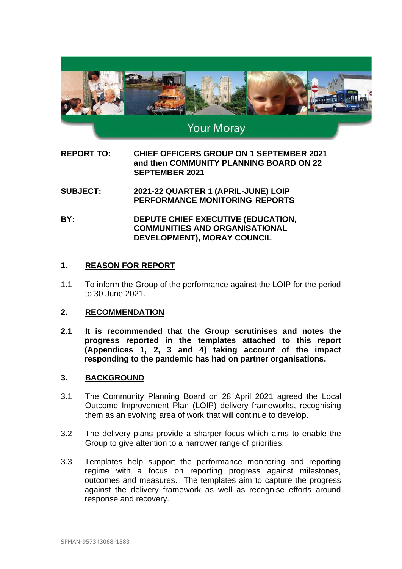

# **Your Moray**

**REPORT TO: CHIEF OFFICERS GROUP ON 1 SEPTEMBER 2021 and then COMMUNITY PLANNING BOARD ON 22 SEPTEMBER 2021**

- **SUBJECT: 2021-22 QUARTER 1 (APRIL-JUNE) LOIP PERFORMANCE MONITORING REPORTS**
- **BY: DEPUTE CHIEF EXECUTIVE (EDUCATION, COMMUNITIES AND ORGANISATIONAL DEVELOPMENT), MORAY COUNCIL**

# **1. REASON FOR REPORT**

1.1 To inform the Group of the performance against the LOIP for the period to 30 June 2021.

#### **2. RECOMMENDATION**

**2.1 It is recommended that the Group scrutinises and notes the progress reported in the templates attached to this report (Appendices 1, 2, 3 and 4) taking account of the impact responding to the pandemic has had on partner organisations.**

#### **3. BACKGROUND**

- 3.1 The Community Planning Board on 28 April 2021 agreed the Local Outcome Improvement Plan (LOIP) delivery frameworks, recognising them as an evolving area of work that will continue to develop.
- 3.2 The delivery plans provide a sharper focus which aims to enable the Group to give attention to a narrower range of priorities.
- 3.3 Templates help support the performance monitoring and reporting regime with a focus on reporting progress against milestones, outcomes and measures. The templates aim to capture the progress against the delivery framework as well as recognise efforts around response and recovery.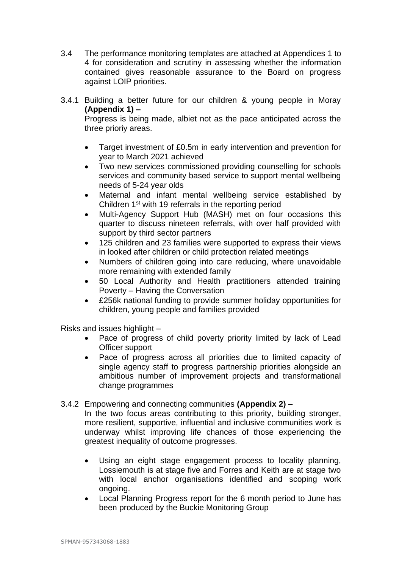- 3.4 The performance monitoring templates are attached at Appendices 1 to 4 for consideration and scrutiny in assessing whether the information contained gives reasonable assurance to the Board on progress against LOIP priorities.
- 3.4.1 Building a better future for our children & young people in Moray **(Appendix 1) –**

Progress is being made, albiet not as the pace anticipated across the three prioriy areas.

- Target investment of £0.5m in early intervention and prevention for year to March 2021 achieved
- Two new services commissioned providing counselling for schools services and community based service to support mental wellbeing needs of 5-24 year olds
- Maternal and infant mental wellbeing service established by Children 1st with 19 referrals in the reporting period
- Multi-Agency Support Hub (MASH) met on four occasions this quarter to discuss nineteen referrals, with over half provided with support by third sector partners
- 125 children and 23 families were supported to express their views in looked after children or child protection related meetings
- Numbers of children going into care reducing, where unavoidable more remaining with extended family
- 50 Local Authority and Health practitioners attended training Poverty – Having the Conversation
- £256k national funding to provide summer holiday opportunities for children, young people and families provided

Risks and issues highlight –

- Pace of progress of child poverty priority limited by lack of Lead Officer support
- Pace of progress across all priorities due to limited capacity of single agency staff to progress partnership priorities alongside an ambitious number of improvement projects and transformational change programmes

# 3.4.2 Empowering and connecting communities **(Appendix 2) –**

In the two focus areas contributing to this priority, building stronger, more resilient, supportive, influential and inclusive communities work is underway whilst improving life chances of those experiencing the greatest inequality of outcome progresses.

- Using an eight stage engagement process to locality planning, Lossiemouth is at stage five and Forres and Keith are at stage two with local anchor organisations identified and scoping work ongoing.
- Local Planning Progress report for the 6 month period to June has been produced by the Buckie Monitoring Group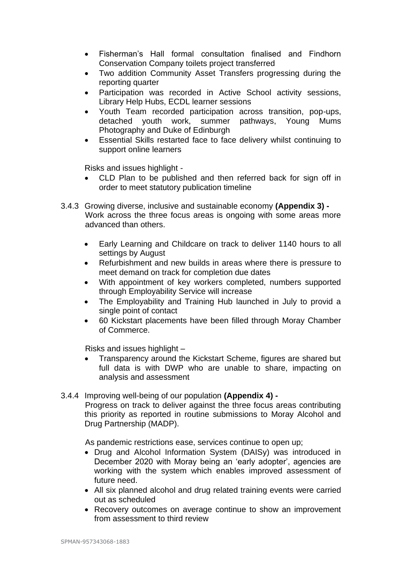- Fisherman's Hall formal consultation finalised and Findhorn Conservation Company toilets project transferred
- Two addition Community Asset Transfers progressing during the reporting quarter
- Participation was recorded in Active School activity sessions, Library Help Hubs, ECDL learner sessions
- Youth Team recorded participation across transition, pop-ups, detached youth work, summer pathways, Young Mums Photography and Duke of Edinburgh
- Essential Skills restarted face to face delivery whilst continuing to support online learners

Risks and issues highlight -

- CLD Plan to be published and then referred back for sign off in order to meet statutory publication timeline
- 3.4.3 Growing diverse, inclusive and sustainable economy **(Appendix 3) -** Work across the three focus areas is ongoing with some areas more advanced than others.
	- Early Learning and Childcare on track to deliver 1140 hours to all settings by August
	- Refurbishment and new builds in areas where there is pressure to meet demand on track for completion due dates
	- With appointment of key workers completed, numbers supported through Employability Service will increase
	- The Employability and Training Hub launched in July to provid a single point of contact
	- 60 Kickstart placements have been filled through Moray Chamber of Commerce.

Risks and issues highlight –

- Transparency around the Kickstart Scheme, figures are shared but full data is with DWP who are unable to share, impacting on analysis and assessment
- 3.4.4 Improving well-being of our population **(Appendix 4) -**

Progress on track to deliver against the three focus areas contributing this priority as reported in routine submissions to Moray Alcohol and Drug Partnership (MADP).

As pandemic restrictions ease, services continue to open up;

- Drug and Alcohol Information System (DAISy) was introduced in December 2020 with Moray being an 'early adopter', agencies are working with the system which enables improved assessment of future need.
- All six planned alcohol and drug related training events were carried out as scheduled
- Recovery outcomes on average continue to show an improvement from assessment to third review